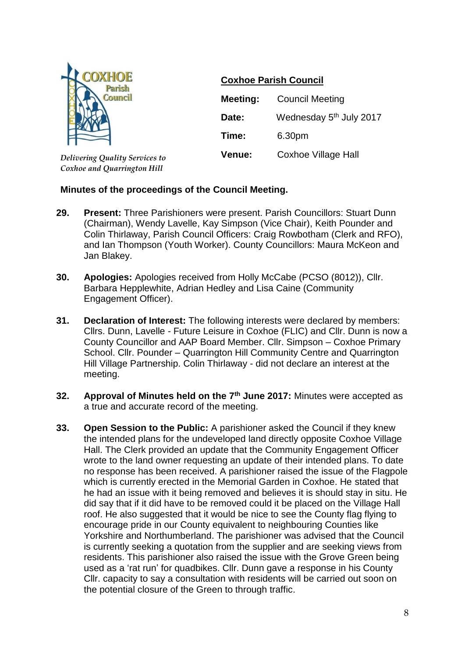

*Delivering Quality Services to Coxhoe and Quarrington Hill*

## **Coxhoe Parish Council**

| <b>Meeting:</b> | <b>Council Meeting</b>              |
|-----------------|-------------------------------------|
| Date:           | Wednesday 5 <sup>th</sup> July 2017 |
| Time:           | 6.30pm                              |
| <b>Venue:</b>   | Coxhoe Village Hall                 |

## **Minutes of the proceedings of the Council Meeting.**

- **29. Present:** Three Parishioners were present. Parish Councillors: Stuart Dunn (Chairman), Wendy Lavelle, Kay Simpson (Vice Chair), Keith Pounder and Colin Thirlaway, Parish Council Officers: Craig Rowbotham (Clerk and RFO), and Ian Thompson (Youth Worker). County Councillors: Maura McKeon and Jan Blakey.
- **30. Apologies:** Apologies received from Holly McCabe (PCSO (8012)), Cllr. Barbara Hepplewhite, Adrian Hedley and Lisa Caine (Community Engagement Officer).
- **31. Declaration of Interest:** The following interests were declared by members: Cllrs. Dunn, Lavelle - Future Leisure in Coxhoe (FLIC) and Cllr. Dunn is now a County Councillor and AAP Board Member. Cllr. Simpson – Coxhoe Primary School. Cllr. Pounder – Quarrington Hill Community Centre and Quarrington Hill Village Partnership. Colin Thirlaway - did not declare an interest at the meeting.
- **32. Approval of Minutes held on the 7th June 2017:** Minutes were accepted as a true and accurate record of the meeting.
- **33. Open Session to the Public:** A parishioner asked the Council if they knew the intended plans for the undeveloped land directly opposite Coxhoe Village Hall. The Clerk provided an update that the Community Engagement Officer wrote to the land owner requesting an update of their intended plans. To date no response has been received. A parishioner raised the issue of the Flagpole which is currently erected in the Memorial Garden in Coxhoe. He stated that he had an issue with it being removed and believes it is should stay in situ. He did say that if it did have to be removed could it be placed on the Village Hall roof. He also suggested that it would be nice to see the County flag flying to encourage pride in our County equivalent to neighbouring Counties like Yorkshire and Northumberland. The parishioner was advised that the Council is currently seeking a quotation from the supplier and are seeking views from residents. This parishioner also raised the issue with the Grove Green being used as a 'rat run' for quadbikes. Cllr. Dunn gave a response in his County Cllr. capacity to say a consultation with residents will be carried out soon on the potential closure of the Green to through traffic.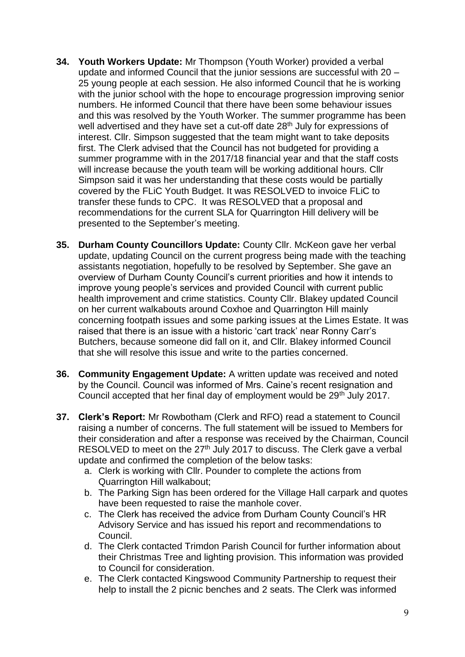- **34. Youth Workers Update:** Mr Thompson (Youth Worker) provided a verbal update and informed Council that the junior sessions are successful with 20 – 25 young people at each session. He also informed Council that he is working with the junior school with the hope to encourage progression improving senior numbers. He informed Council that there have been some behaviour issues and this was resolved by the Youth Worker. The summer programme has been well advertised and they have set a cut-off date 28<sup>th</sup> July for expressions of interest. Cllr. Simpson suggested that the team might want to take deposits first. The Clerk advised that the Council has not budgeted for providing a summer programme with in the 2017/18 financial year and that the staff costs will increase because the youth team will be working additional hours. Cllr Simpson said it was her understanding that these costs would be partially covered by the FLiC Youth Budget. It was RESOLVED to invoice FLiC to transfer these funds to CPC. It was RESOLVED that a proposal and recommendations for the current SLA for Quarrington Hill delivery will be presented to the September's meeting.
- **35. Durham County Councillors Update:** County Cllr. McKeon gave her verbal update, updating Council on the current progress being made with the teaching assistants negotiation, hopefully to be resolved by September. She gave an overview of Durham County Council's current priorities and how it intends to improve young people's services and provided Council with current public health improvement and crime statistics. County Cllr. Blakey updated Council on her current walkabouts around Coxhoe and Quarrington Hill mainly concerning footpath issues and some parking issues at the Limes Estate. It was raised that there is an issue with a historic 'cart track' near Ronny Carr's Butchers, because someone did fall on it, and Cllr. Blakey informed Council that she will resolve this issue and write to the parties concerned.
- **36. Community Engagement Update:** A written update was received and noted by the Council. Council was informed of Mrs. Caine's recent resignation and Council accepted that her final day of employment would be 29<sup>th</sup> July 2017.
- **37. Clerk's Report:** Mr Rowbotham (Clerk and RFO) read a statement to Council raising a number of concerns. The full statement will be issued to Members for their consideration and after a response was received by the Chairman, Council RESOLVED to meet on the  $27<sup>th</sup>$  July 2017 to discuss. The Clerk gave a verbal update and confirmed the completion of the below tasks:
	- a. Clerk is working with Cllr. Pounder to complete the actions from Quarrington Hill walkabout;
	- b. The Parking Sign has been ordered for the Village Hall carpark and quotes have been requested to raise the manhole cover.
	- c. The Clerk has received the advice from Durham County Council's HR Advisory Service and has issued his report and recommendations to Council.
	- d. The Clerk contacted Trimdon Parish Council for further information about their Christmas Tree and lighting provision. This information was provided to Council for consideration.
	- e. The Clerk contacted Kingswood Community Partnership to request their help to install the 2 picnic benches and 2 seats. The Clerk was informed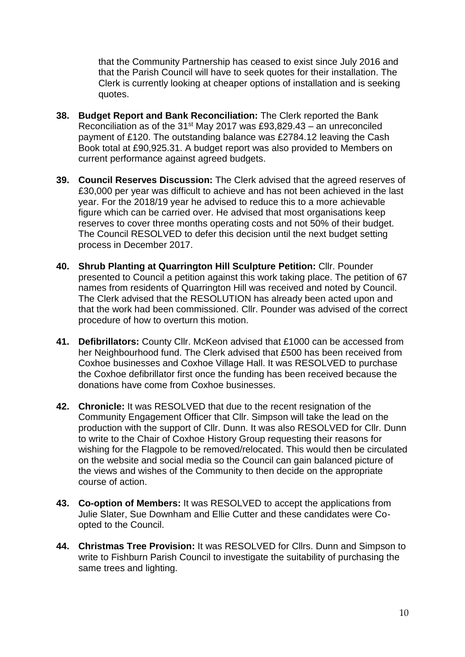that the Community Partnership has ceased to exist since July 2016 and that the Parish Council will have to seek quotes for their installation. The Clerk is currently looking at cheaper options of installation and is seeking quotes.

- **38. Budget Report and Bank Reconciliation:** The Clerk reported the Bank Reconciliation as of the 31st May 2017 was £93,829.43 – an unreconciled payment of £120. The outstanding balance was £2784.12 leaving the Cash Book total at £90,925.31. A budget report was also provided to Members on current performance against agreed budgets.
- **39. Council Reserves Discussion:** The Clerk advised that the agreed reserves of £30,000 per year was difficult to achieve and has not been achieved in the last year. For the 2018/19 year he advised to reduce this to a more achievable figure which can be carried over. He advised that most organisations keep reserves to cover three months operating costs and not 50% of their budget. The Council RESOLVED to defer this decision until the next budget setting process in December 2017.
- **40. Shrub Planting at Quarrington Hill Sculpture Petition:** Cllr. Pounder presented to Council a petition against this work taking place. The petition of 67 names from residents of Quarrington Hill was received and noted by Council. The Clerk advised that the RESOLUTION has already been acted upon and that the work had been commissioned. Cllr. Pounder was advised of the correct procedure of how to overturn this motion.
- **41. Defibrillators:** County Cllr. McKeon advised that £1000 can be accessed from her Neighbourhood fund. The Clerk advised that £500 has been received from Coxhoe businesses and Coxhoe Village Hall. It was RESOLVED to purchase the Coxhoe defibrillator first once the funding has been received because the donations have come from Coxhoe businesses.
- **42. Chronicle:** It was RESOLVED that due to the recent resignation of the Community Engagement Officer that Cllr. Simpson will take the lead on the production with the support of Cllr. Dunn. It was also RESOLVED for Cllr. Dunn to write to the Chair of Coxhoe History Group requesting their reasons for wishing for the Flagpole to be removed/relocated. This would then be circulated on the website and social media so the Council can gain balanced picture of the views and wishes of the Community to then decide on the appropriate course of action.
- **43. Co-option of Members:** It was RESOLVED to accept the applications from Julie Slater, Sue Downham and Ellie Cutter and these candidates were Coopted to the Council.
- **44. Christmas Tree Provision:** It was RESOLVED for Cllrs. Dunn and Simpson to write to Fishburn Parish Council to investigate the suitability of purchasing the same trees and lighting.